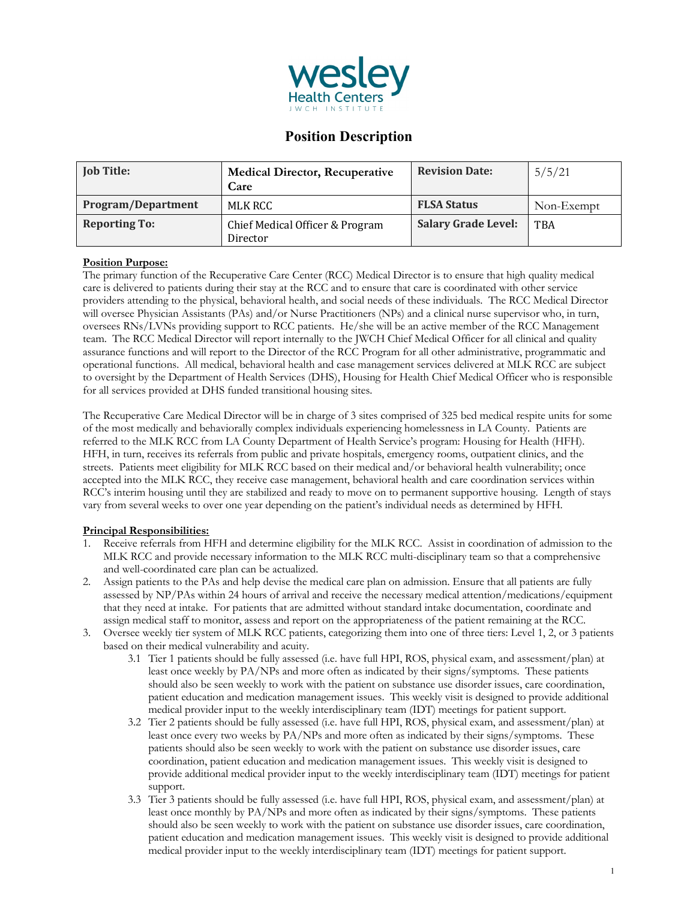

# **Position Description**

| <b>Job Title:</b>         | <b>Medical Director, Recuperative</b><br>Care | <b>Revision Date:</b>      | 5/5/21     |
|---------------------------|-----------------------------------------------|----------------------------|------------|
| <b>Program/Department</b> | MLK RCC                                       | <b>FLSA Status</b>         | Non-Exempt |
| <b>Reporting To:</b>      | Chief Medical Officer & Program<br>Director   | <b>Salary Grade Level:</b> | <b>TBA</b> |

## **Position Purpose:**

The primary function of the Recuperative Care Center (RCC) Medical Director is to ensure that high quality medical care is delivered to patients during their stay at the RCC and to ensure that care is coordinated with other service providers attending to the physical, behavioral health, and social needs of these individuals. The RCC Medical Director will oversee Physician Assistants (PAs) and/or Nurse Practitioners (NPs) and a clinical nurse supervisor who, in turn, oversees RNs/LVNs providing support to RCC patients. He/she will be an active member of the RCC Management team. The RCC Medical Director will report internally to the JWCH Chief Medical Officer for all clinical and quality assurance functions and will report to the Director of the RCC Program for all other administrative, programmatic and operational functions. All medical, behavioral health and case management services delivered at MLK RCC are subject to oversight by the Department of Health Services (DHS), Housing for Health Chief Medical Officer who is responsible for all services provided at DHS funded transitional housing sites.

The Recuperative Care Medical Director will be in charge of 3 sites comprised of 325 bed medical respite units for some of the most medically and behaviorally complex individuals experiencing homelessness in LA County. Patients are referred to the MLK RCC from LA County Department of Health Service's program: Housing for Health (HFH). HFH, in turn, receives its referrals from public and private hospitals, emergency rooms, outpatient clinics, and the streets. Patients meet eligibility for MLK RCC based on their medical and/or behavioral health vulnerability; once accepted into the MLK RCC, they receive case management, behavioral health and care coordination services within RCC's interim housing until they are stabilized and ready to move on to permanent supportive housing. Length of stays vary from several weeks to over one year depending on the patient's individual needs as determined by HFH.

## **Principal Responsibilities:**

- 1. Receive referrals from HFH and determine eligibility for the MLK RCC. Assist in coordination of admission to the MLK RCC and provide necessary information to the MLK RCC multi-disciplinary team so that a comprehensive and well-coordinated care plan can be actualized.
- 2. Assign patients to the PAs and help devise the medical care plan on admission. Ensure that all patients are fully assessed by NP/PAs within 24 hours of arrival and receive the necessary medical attention/medications/equipment that they need at intake. For patients that are admitted without standard intake documentation, coordinate and assign medical staff to monitor, assess and report on the appropriateness of the patient remaining at the RCC.
- 3. Oversee weekly tier system of MLK RCC patients, categorizing them into one of three tiers: Level 1, 2, or 3 patients based on their medical vulnerability and acuity.
	- 3.1 Tier 1 patients should be fully assessed (i.e. have full HPI, ROS, physical exam, and assessment/plan) at least once weekly by PA/NPs and more often as indicated by their signs/symptoms. These patients should also be seen weekly to work with the patient on substance use disorder issues, care coordination, patient education and medication management issues. This weekly visit is designed to provide additional medical provider input to the weekly interdisciplinary team (IDT) meetings for patient support.
	- 3.2 Tier 2 patients should be fully assessed (i.e. have full HPI, ROS, physical exam, and assessment/plan) at least once every two weeks by PA/NPs and more often as indicated by their signs/symptoms. These patients should also be seen weekly to work with the patient on substance use disorder issues, care coordination, patient education and medication management issues. This weekly visit is designed to provide additional medical provider input to the weekly interdisciplinary team (IDT) meetings for patient support.
	- 3.3 Tier 3 patients should be fully assessed (i.e. have full HPI, ROS, physical exam, and assessment/plan) at least once monthly by PA/NPs and more often as indicated by their signs/symptoms. These patients should also be seen weekly to work with the patient on substance use disorder issues, care coordination, patient education and medication management issues. This weekly visit is designed to provide additional medical provider input to the weekly interdisciplinary team (IDT) meetings for patient support.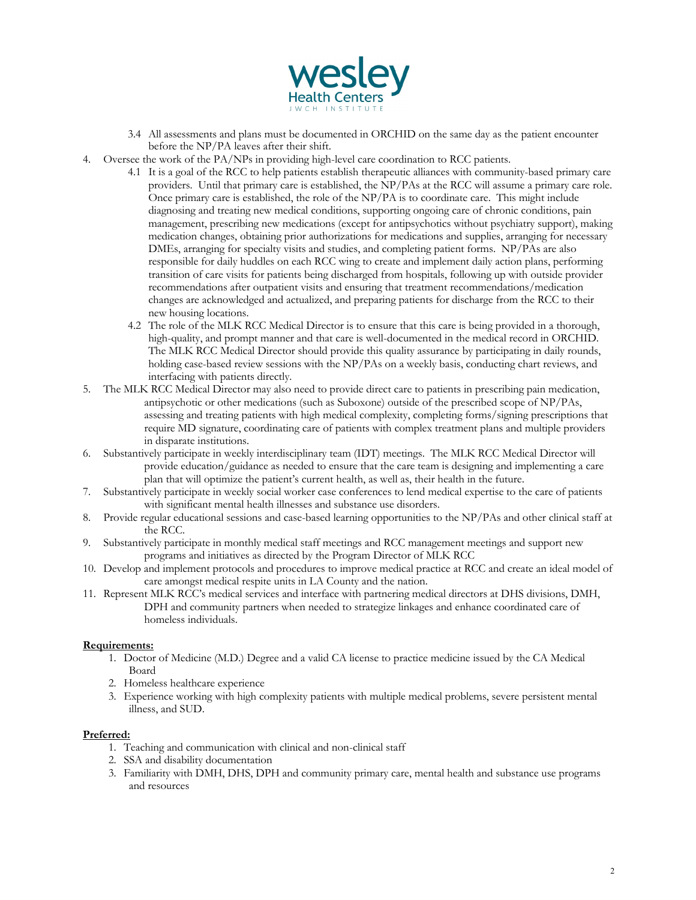

- 3.4 All assessments and plans must be documented in ORCHID on the same day as the patient encounter before the NP/PA leaves after their shift.
- 4. Oversee the work of the PA/NPs in providing high-level care coordination to RCC patients.
	- 4.1 It is a goal of the RCC to help patients establish therapeutic alliances with community-based primary care providers. Until that primary care is established, the NP/PAs at the RCC will assume a primary care role. Once primary care is established, the role of the NP/PA is to coordinate care. This might include diagnosing and treating new medical conditions, supporting ongoing care of chronic conditions, pain management, prescribing new medications (except for antipsychotics without psychiatry support), making medication changes, obtaining prior authorizations for medications and supplies, arranging for necessary DMEs, arranging for specialty visits and studies, and completing patient forms. NP/PAs are also responsible for daily huddles on each RCC wing to create and implement daily action plans, performing transition of care visits for patients being discharged from hospitals, following up with outside provider recommendations after outpatient visits and ensuring that treatment recommendations/medication changes are acknowledged and actualized, and preparing patients for discharge from the RCC to their new housing locations.
	- 4.2 The role of the MLK RCC Medical Director is to ensure that this care is being provided in a thorough, high-quality, and prompt manner and that care is well-documented in the medical record in ORCHID. The MLK RCC Medical Director should provide this quality assurance by participating in daily rounds, holding case-based review sessions with the NP/PAs on a weekly basis, conducting chart reviews, and interfacing with patients directly.
- 5. The MLK RCC Medical Director may also need to provide direct care to patients in prescribing pain medication, antipsychotic or other medications (such as Suboxone) outside of the prescribed scope of NP/PAs, assessing and treating patients with high medical complexity, completing forms/signing prescriptions that require MD signature, coordinating care of patients with complex treatment plans and multiple providers in disparate institutions.
- 6. Substantively participate in weekly interdisciplinary team (IDT) meetings. The MLK RCC Medical Director will provide education/guidance as needed to ensure that the care team is designing and implementing a care plan that will optimize the patient's current health, as well as, their health in the future.
- 7. Substantively participate in weekly social worker case conferences to lend medical expertise to the care of patients with significant mental health illnesses and substance use disorders.
- 8. Provide regular educational sessions and case-based learning opportunities to the NP/PAs and other clinical staff at the RCC.
- 9. Substantively participate in monthly medical staff meetings and RCC management meetings and support new programs and initiatives as directed by the Program Director of MLK RCC
- 10. Develop and implement protocols and procedures to improve medical practice at RCC and create an ideal model of care amongst medical respite units in LA County and the nation.
- 11. Represent MLK RCC's medical services and interface with partnering medical directors at DHS divisions, DMH, DPH and community partners when needed to strategize linkages and enhance coordinated care of homeless individuals.

## **Requirements:**

- 1. Doctor of Medicine (M.D.) Degree and a valid CA license to practice medicine issued by the CA Medical Board
- 2. Homeless healthcare experience
- 3. Experience working with high complexity patients with multiple medical problems, severe persistent mental illness, and SUD.

### **Preferred:**

- 1. Teaching and communication with clinical and non-clinical staff
- 2. SSA and disability documentation
- 3. Familiarity with DMH, DHS, DPH and community primary care, mental health and substance use programs and resources